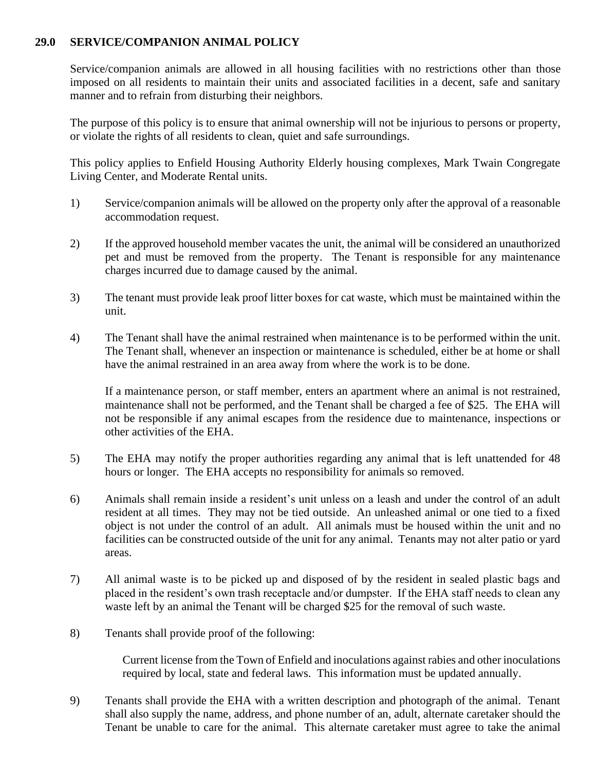## **29.0 SERVICE/COMPANION ANIMAL POLICY**

Service/companion animals are allowed in all housing facilities with no restrictions other than those imposed on all residents to maintain their units and associated facilities in a decent, safe and sanitary manner and to refrain from disturbing their neighbors.

The purpose of this policy is to ensure that animal ownership will not be injurious to persons or property, or violate the rights of all residents to clean, quiet and safe surroundings.

This policy applies to Enfield Housing Authority Elderly housing complexes, Mark Twain Congregate Living Center, and Moderate Rental units.

- 1) Service/companion animals will be allowed on the property only after the approval of a reasonable accommodation request.
- 2) If the approved household member vacates the unit, the animal will be considered an unauthorized pet and must be removed from the property. The Tenant is responsible for any maintenance charges incurred due to damage caused by the animal.
- 3) The tenant must provide leak proof litter boxes for cat waste, which must be maintained within the unit.
- 4) The Tenant shall have the animal restrained when maintenance is to be performed within the unit. The Tenant shall, whenever an inspection or maintenance is scheduled, either be at home or shall have the animal restrained in an area away from where the work is to be done.

If a maintenance person, or staff member, enters an apartment where an animal is not restrained, maintenance shall not be performed, and the Tenant shall be charged a fee of \$25. The EHA will not be responsible if any animal escapes from the residence due to maintenance, inspections or other activities of the EHA.

- 5) The EHA may notify the proper authorities regarding any animal that is left unattended for 48 hours or longer. The EHA accepts no responsibility for animals so removed.
- 6) Animals shall remain inside a resident's unit unless on a leash and under the control of an adult resident at all times. They may not be tied outside. An unleashed animal or one tied to a fixed object is not under the control of an adult. All animals must be housed within the unit and no facilities can be constructed outside of the unit for any animal. Tenants may not alter patio or yard areas.
- 7) All animal waste is to be picked up and disposed of by the resident in sealed plastic bags and placed in the resident's own trash receptacle and/or dumpster. If the EHA staff needs to clean any waste left by an animal the Tenant will be charged \$25 for the removal of such waste.
- 8) Tenants shall provide proof of the following:

Current license from the Town of Enfield and inoculations against rabies and other inoculations required by local, state and federal laws. This information must be updated annually.

9) Tenants shall provide the EHA with a written description and photograph of the animal. Tenant shall also supply the name, address, and phone number of an, adult, alternate caretaker should the Tenant be unable to care for the animal. This alternate caretaker must agree to take the animal